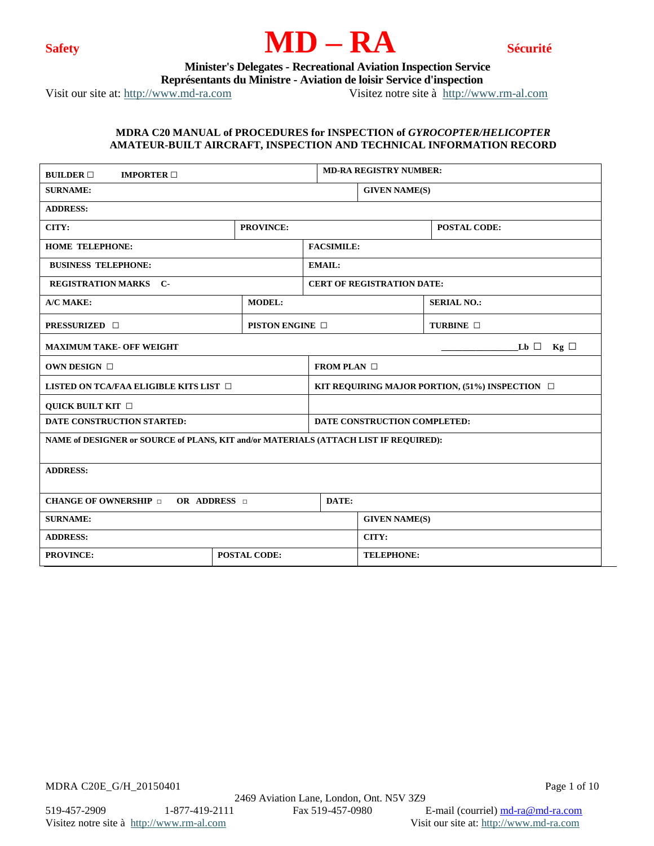



 **Minister's Delegates - Recreational Aviation Inspection Service**

 **Représentants du Ministre - Aviation de loisir Service d'inspection**

Visit our site at: [http://www.md-ra.com](http://www.md-ra.com/) Visitez notre site à [http://www.rm-al.com](http://www.rm-al.com/)

## **MDRA C20 MANUAL of PROCEDURES for INSPECTION of** *GYROCOPTER/HELICOPTER* **AMATEUR-BUILT AIRCRAFT, INSPECTION AND TECHNICAL INFORMATION RECORD**

| <b>BUILDER</b> $\Box$<br><b>IMPORTER</b> $\Box$                                      |                      |                                                         | <b>MD-RA REGISTRY NUMBER:</b>     |                     |  |  |  |
|--------------------------------------------------------------------------------------|----------------------|---------------------------------------------------------|-----------------------------------|---------------------|--|--|--|
| <b>SURNAME:</b>                                                                      |                      | <b>GIVEN NAME(S)</b>                                    |                                   |                     |  |  |  |
| <b>ADDRESS:</b>                                                                      |                      |                                                         |                                   |                     |  |  |  |
| CITY:                                                                                | <b>PROVINCE:</b>     |                                                         |                                   | <b>POSTAL CODE:</b> |  |  |  |
| <b>HOME TELEPHONE:</b>                                                               |                      | <b>FACSIMILE:</b>                                       |                                   |                     |  |  |  |
| <b>BUSINESS TELEPHONE:</b>                                                           |                      | <b>EMAIL:</b>                                           |                                   |                     |  |  |  |
| <b>REGISTRATION MARKS C-</b>                                                         |                      |                                                         | <b>CERT OF REGISTRATION DATE:</b> |                     |  |  |  |
| A/C MAKE:                                                                            | <b>MODEL:</b>        |                                                         |                                   | <b>SERIAL NO.:</b>  |  |  |  |
| <b>PRESSURIZED</b> □                                                                 | <b>PISTON ENGINE</b> |                                                         |                                   | TURBINE <b>D</b>    |  |  |  |
| <b>MAXIMUM TAKE- OFF WEIGHT</b>                                                      |                      |                                                         |                                   | $Lb \Box$ Kg $\Box$ |  |  |  |
| OWN DESIGN $\Box$                                                                    |                      | FROM PLAN $\Box$                                        |                                   |                     |  |  |  |
| LISTED ON TCA/FAA ELIGIBLE KITS LIST $\Box$                                          |                      | KIT REQUIRING MAJOR PORTION, $(51\%)$ INSPECTION $\Box$ |                                   |                     |  |  |  |
| <b>QUICK BUILT KIT</b>                                                               |                      |                                                         |                                   |                     |  |  |  |
| DATE CONSTRUCTION STARTED:                                                           |                      | DATE CONSTRUCTION COMPLETED:                            |                                   |                     |  |  |  |
| NAME of DESIGNER or SOURCE of PLANS, KIT and/or MATERIALS (ATTACH LIST IF REQUIRED): |                      |                                                         |                                   |                     |  |  |  |
| <b>ADDRESS:</b>                                                                      |                      |                                                         |                                   |                     |  |  |  |
| <b>CHANGE OF OWNERSHIP</b><br>OR ADDRESS <b>D</b>                                    | DATE:                |                                                         |                                   |                     |  |  |  |
| <b>SURNAME:</b>                                                                      |                      | <b>GIVEN NAME(S)</b>                                    |                                   |                     |  |  |  |
| <b>ADDRESS:</b>                                                                      |                      |                                                         | CITY:                             |                     |  |  |  |
| <b>PROVINCE:</b>                                                                     | <b>POSTAL CODE:</b>  |                                                         | <b>TELEPHONE:</b>                 |                     |  |  |  |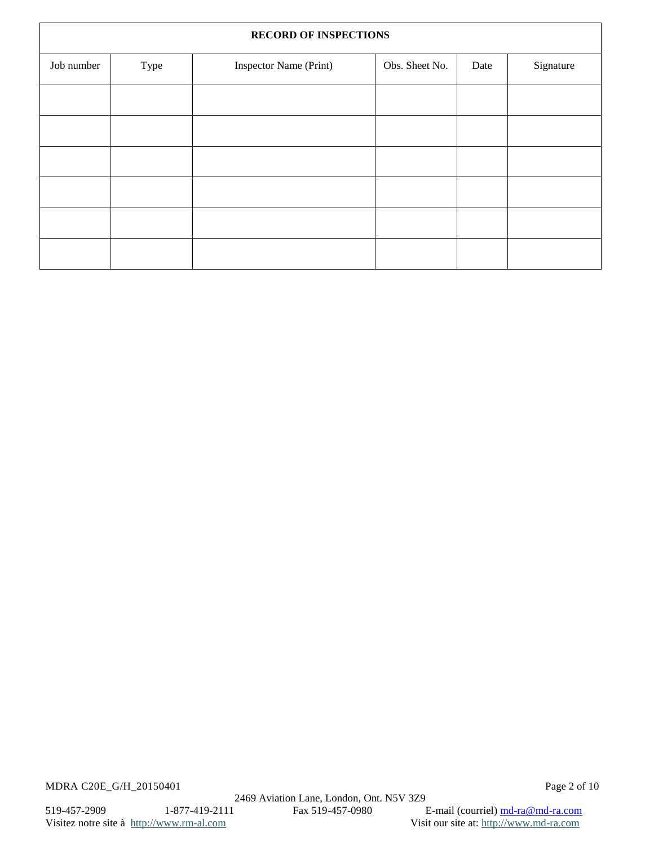| <b>RECORD OF INSPECTIONS</b> |      |                        |                |      |           |
|------------------------------|------|------------------------|----------------|------|-----------|
| Job number                   | Type | Inspector Name (Print) | Obs. Sheet No. | Date | Signature |
|                              |      |                        |                |      |           |
|                              |      |                        |                |      |           |
|                              |      |                        |                |      |           |
|                              |      |                        |                |      |           |
|                              |      |                        |                |      |           |
|                              |      |                        |                |      |           |
|                              |      |                        |                |      |           |

MDRA C20E\_G/H\_20150401 Page 2 of 10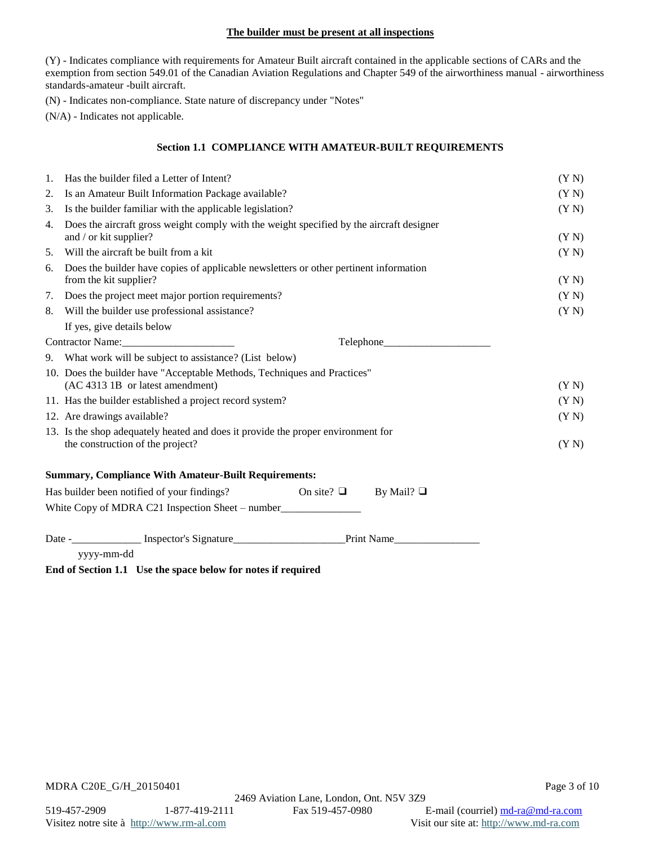### **The builder must be present at all inspections**

(Y) - Indicates compliance with requirements for Amateur Built aircraft contained in the applicable sections of CARs and the exemption from section 549.01 of the Canadian Aviation Regulations and Chapter 549 of the airworthiness manual - airworthiness standards-amateur -built aircraft.

(N) - Indicates non-compliance. State nature of discrepancy under "Notes"

(N/A) - Indicates not applicable.

### **Section 1.1 COMPLIANCE WITH AMATEUR-BUILT REQUIREMENTS**

| 1. | Has the builder filed a Letter of Intent?                                                                            | (YN)  |  |  |  |
|----|----------------------------------------------------------------------------------------------------------------------|-------|--|--|--|
| 2. | Is an Amateur Built Information Package available?                                                                   |       |  |  |  |
| 3. | Is the builder familiar with the applicable legislation?                                                             |       |  |  |  |
| 4. | Does the aircraft gross weight comply with the weight specified by the aircraft designer<br>and / or kit supplier?   | (Y N) |  |  |  |
| 5. | Will the aircraft be built from a kit                                                                                | (Y N) |  |  |  |
| 6. | Does the builder have copies of applicable newsletters or other pertinent information<br>from the kit supplier?      | (Y N) |  |  |  |
|    | 7. Does the project meet major portion requirements?                                                                 | (Y N) |  |  |  |
|    | 8. Will the builder use professional assistance?                                                                     | (Y N) |  |  |  |
|    | If yes, give details below                                                                                           |       |  |  |  |
|    | Contractor Name:                                                                                                     |       |  |  |  |
|    | 9. What work will be subject to assistance? (List below)                                                             |       |  |  |  |
|    | 10. Does the builder have "Acceptable Methods, Techniques and Practices"<br>(AC 4313 1B or latest amendment)         | (Y N) |  |  |  |
|    | 11. Has the builder established a project record system?                                                             | (Y N) |  |  |  |
|    | 12. Are drawings available?                                                                                          | (Y N) |  |  |  |
|    | 13. Is the shop adequately heated and does it provide the proper environment for<br>the construction of the project? | (Y N) |  |  |  |
|    | <b>Summary, Compliance With Amateur-Built Requirements:</b>                                                          |       |  |  |  |
|    | Has builder been notified of your findings?<br>On site? $\Box$ By Mail? $\Box$                                       |       |  |  |  |
|    | White Copy of MDRA C21 Inspection Sheet – number_________________________________                                    |       |  |  |  |
|    |                                                                                                                      |       |  |  |  |
|    | yyyy-mm-dd                                                                                                           |       |  |  |  |

**End of Section 1.1 Use the space below for notes if required**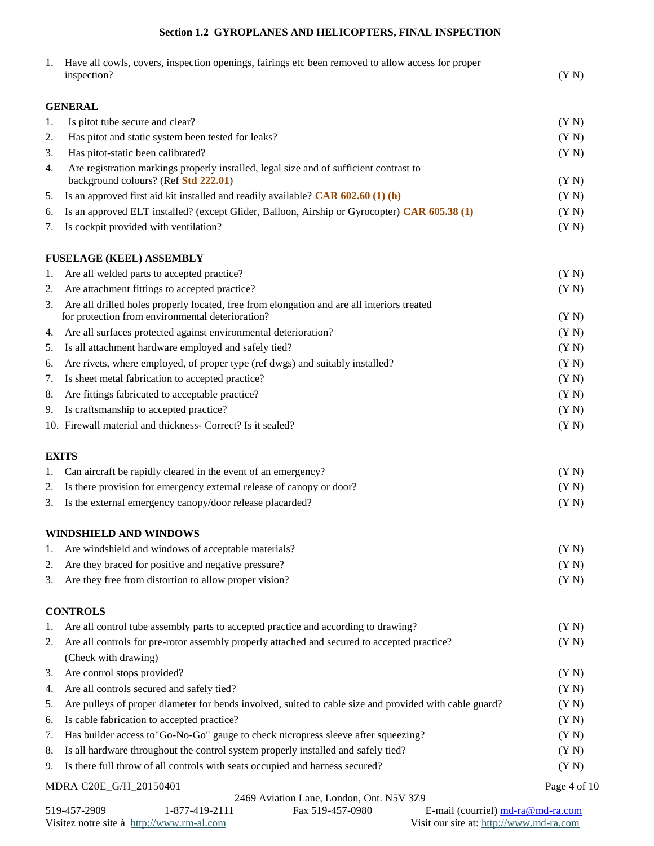# **Section 1.2 GYROPLANES AND HELICOPTERS, FINAL INSPECTION**

| 1. | Have all cowls, covers, inspection openings, fairings etc been removed to allow access for proper<br>inspection?                               | (Y N)        |
|----|------------------------------------------------------------------------------------------------------------------------------------------------|--------------|
|    | GENERAL                                                                                                                                        |              |
| 1. | Is pitot tube secure and clear?                                                                                                                | (Y N)        |
| 2. | Has pitot and static system been tested for leaks?                                                                                             | (Y N)        |
| 3. | Has pitot-static been calibrated?                                                                                                              | (Y N)        |
| 4. | Are registration markings properly installed, legal size and of sufficient contrast to<br>background colours? (Ref Std 222.01)                 | (Y N)        |
| 5. | Is an approved first aid kit installed and readily available? $CAR 602.60 (1) (h)$                                                             | (Y N)        |
| 6. | Is an approved ELT installed? (except Glider, Balloon, Airship or Gyrocopter) CAR 605.38 (1)                                                   | (Y N)        |
| 7. | Is cockpit provided with ventilation?                                                                                                          | (Y N)        |
|    | <b>FUSELAGE (KEEL) ASSEMBLY</b>                                                                                                                |              |
| 1. | Are all welded parts to accepted practice?                                                                                                     | (Y N)        |
| 2. | Are attachment fittings to accepted practice?                                                                                                  | (Y N)        |
| 3. | Are all drilled holes properly located, free from elongation and are all interiors treated<br>for protection from environmental deterioration? | (Y N)        |
|    | 4. Are all surfaces protected against environmental deterioration?                                                                             | (Y N)        |
| 5. | Is all attachment hardware employed and safely tied?                                                                                           | (Y N)        |
| 6. | Are rivets, where employed, of proper type (ref dwgs) and suitably installed?                                                                  | (Y N)        |
| 7. | Is sheet metal fabrication to accepted practice?                                                                                               | (Y N)        |
| 8. | Are fittings fabricated to acceptable practice?                                                                                                | (Y N)        |
| 9. | Is craftsmanship to accepted practice?                                                                                                         | (Y N)        |
|    | 10. Firewall material and thickness- Correct? Is it sealed?                                                                                    | (Y N)        |
|    | <b>EXITS</b>                                                                                                                                   |              |
| 1. | Can aircraft be rapidly cleared in the event of an emergency?                                                                                  | (Y N)        |
|    | 2. Is there provision for emergency external release of canopy or door?                                                                        | (Y N)        |
|    | 3. Is the external emergency canopy/door release placarded?                                                                                    | (Y N)        |
|    | WINDSHIELD AND WINDOWS                                                                                                                         |              |
| 1. | Are windshield and windows of acceptable materials?                                                                                            | (Y N)        |
| 2. | Are they braced for positive and negative pressure?                                                                                            | (Y N)        |
| 3. | Are they free from distortion to allow proper vision?                                                                                          | (Y N)        |
|    | <b>CONTROLS</b>                                                                                                                                |              |
| 1. | Are all control tube assembly parts to accepted practice and according to drawing?                                                             | (Y N)        |
| 2. | Are all controls for pre-rotor assembly properly attached and secured to accepted practice?<br>(Check with drawing)                            | (Y N)        |
| 3. | Are control stops provided?                                                                                                                    | (Y N)        |
| 4. | Are all controls secured and safely tied?                                                                                                      | (Y N)        |
| 5. | Are pulleys of proper diameter for bends involved, suited to cable size and provided with cable guard?                                         | (Y N)        |
| 6. | Is cable fabrication to accepted practice?                                                                                                     | (Y N)        |
| 7. | Has builder access to"Go-No-Go" gauge to check nicropress sleeve after squeezing?                                                              | (Y N)        |
| 8. | Is all hardware throughout the control system properly installed and safely tied?                                                              | (Y N)        |
| 9. | Is there full throw of all controls with seats occupied and harness secured?                                                                   | (Y N)        |
|    | MDRA C20E_G/H_20150401                                                                                                                         | Page 4 of 10 |
|    | 2469 Aviation Lane, London, Ont. N5V 3Z9                                                                                                       |              |

519-457-2909 1-877-419-2111 Fax 519-457-0980 E-mail (courriel)  $\frac{md-ra.com}{md-ra.com}$ <br>Visit our site at: http://www.rm-al.com Visit our site at: http://www.md-ra.com Visitez notre site à http://www.rm-al.com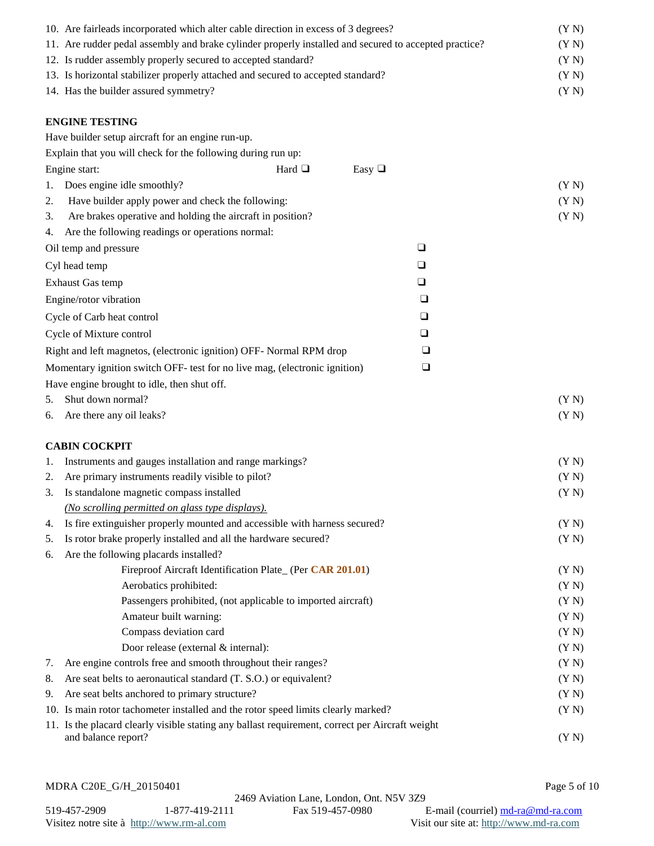| 10. Are fairleads incorporated which alter cable direction in excess of 3 degrees?                    | (Y N) |
|-------------------------------------------------------------------------------------------------------|-------|
| 11. Are rudder pedal assembly and brake cylinder properly installed and secured to accepted practice? | (Y N) |
| 12. Is rudder assembly properly secured to accepted standard?                                         | (Y N) |
| 13. Is horizontal stabilizer properly attached and secured to accepted standard?                      | (Y N) |
| 14. Has the builder assured symmetry?                                                                 | (Y N) |
|                                                                                                       |       |
| <b>ENGINE TESTING</b>                                                                                 |       |
| Have builder setup aircraft for an engine run-up.                                                     |       |
| Explain that you will check for the following during run up:                                          |       |
| Engine start:<br>Hard $\Box$<br>Easy $\Box$                                                           |       |
| Does engine idle smoothly?<br>1.                                                                      | (Y N) |
| Have builder apply power and check the following:<br>2.                                               | (Y N) |
| Are brakes operative and holding the aircraft in position?<br>3.                                      | (Y N) |
| Are the following readings or operations normal:<br>4.                                                |       |
| $\Box$<br>Oil temp and pressure                                                                       |       |
| Cyl head temp<br>❏                                                                                    |       |
| $\Box$<br>Exhaust Gas temp                                                                            |       |
| Engine/rotor vibration<br>$\Box$                                                                      |       |
| Cycle of Carb heat control<br>$\Box$                                                                  |       |
| Cycle of Mixture control<br>❏                                                                         |       |
|                                                                                                       |       |
| Right and left magnetos, (electronic ignition) OFF- Normal RPM drop<br>❏                              |       |
| Momentary ignition switch OFF- test for no live mag, (electronic ignition)<br>❏                       |       |
| Have engine brought to idle, then shut off.                                                           |       |
| Shut down normal?<br>5.                                                                               | (Y N) |
| Are there any oil leaks?<br>6.                                                                        | (Y N) |
| <b>CABIN COCKPIT</b>                                                                                  |       |
| Instruments and gauges installation and range markings?<br>1.                                         | (Y N) |
| Are primary instruments readily visible to pilot?<br>2.                                               | (Y N) |
| Is standalone magnetic compass installed<br>3.                                                        | (Y N) |
| ( <i>No scrolling permitted on glass type displays</i> ).                                             |       |
| Is fire extinguisher properly mounted and accessible with harness secured?<br>4.                      | (Y N) |
| Is rotor brake properly installed and all the hardware secured?<br>5.                                 | (Y N) |
| Are the following placards installed?<br>6.                                                           |       |
| Fireproof Aircraft Identification Plate_ (Per CAR 201.01)                                             | (Y N) |
| Aerobatics prohibited:                                                                                | (Y N) |
| Passengers prohibited, (not applicable to imported aircraft)                                          | (Y N) |
| Amateur built warning:                                                                                | (Y N) |
| Compass deviation card                                                                                | (Y N) |
| Door release (external & internal):                                                                   | (Y N) |
| Are engine controls free and smooth throughout their ranges?<br>7.                                    | (Y N) |
| Are seat belts to aeronautical standard (T. S.O.) or equivalent?<br>8.                                | (Y N) |
| Are seat belts anchored to primary structure?<br>9.                                                   | (Y N) |
| 10. Is main rotor tachometer installed and the rotor speed limits clearly marked?                     | (Y N) |
| 11. Is the placard clearly visible stating any ballast requirement, correct per Aircraft weight       |       |
| and balance report?                                                                                   | (Y N) |

MDRA C20E\_G/H\_20150401 Page 5 of 10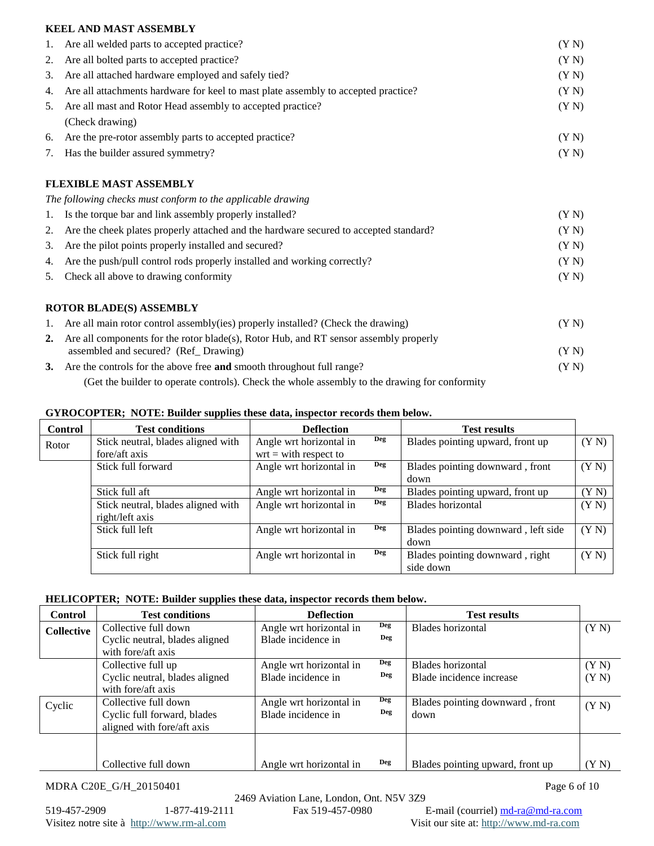## **KEEL AND MAST ASSEMBLY**

| 1. | Are all welded parts to accepted practice?                                                                                    | (Y N) |
|----|-------------------------------------------------------------------------------------------------------------------------------|-------|
| 2. | Are all bolted parts to accepted practice?                                                                                    | (Y N) |
| 3. | Are all attached hardware employed and safely tied?                                                                           | (Y N) |
| 4. | Are all attachments hardware for keel to mast plate assembly to accepted practice?                                            | (Y N) |
| 5. | Are all mast and Rotor Head assembly to accepted practice?                                                                    | (Y N) |
|    | (Check drawing)                                                                                                               |       |
| 6. | Are the pre-rotor assembly parts to accepted practice?                                                                        | (Y N) |
| 7. | Has the builder assured symmetry?                                                                                             | (Y N) |
|    | <b>FLEXIBLE MAST ASSEMBLY</b>                                                                                                 |       |
|    | The following checks must conform to the applicable drawing                                                                   |       |
| 1. | Is the torque bar and link assembly properly installed?                                                                       | (Y N) |
| 2. | Are the cheek plates properly attached and the hardware secured to accepted standard?                                         | (Y N) |
| 3. | Are the pilot points properly installed and secured?                                                                          | (Y N) |
| 4. | Are the push/pull control rods properly installed and working correctly?                                                      | (Y N) |
| 5. | Check all above to drawing conformity                                                                                         | (Y N) |
|    | <b>ROTOR BLADE(S) ASSEMBLY</b>                                                                                                |       |
| 1. | Are all main rotor control assembly(ies) properly installed? (Check the drawing)                                              | (Y N) |
| 2. | Are all components for the rotor blade(s), Rotor Hub, and RT sensor assembly properly<br>assembled and secured? (Ref_Drawing) | (Y N) |
|    | 3. Are the controls for the above free and smooth throughout full range?                                                      | (Y N) |
|    |                                                                                                                               |       |

(Get the builder to operate controls). Check the whole assembly to the drawing for conformity

# **GYROCOPTER; NOTE: Builder supplies these data, inspector records them below.**

| <b>Control</b> | <b>Test conditions</b>             | <b>Deflection</b>       |            | <b>Test results</b>                 |       |
|----------------|------------------------------------|-------------------------|------------|-------------------------------------|-------|
| Rotor          | Stick neutral, blades aligned with | Angle wrt horizontal in | Deg        | Blades pointing upward, front up    | (YN)  |
|                | fore/aft axis                      | $wrt = with respect to$ |            |                                     |       |
|                | Stick full forward                 | Angle wrt horizontal in | Deg        | Blades pointing downward, front     | (Y N) |
|                |                                    |                         |            | down                                |       |
|                | Stick full aft                     | Angle wrt horizontal in | <b>Deg</b> | Blades pointing upward, front up    | (YN)  |
|                | Stick neutral, blades aligned with | Angle wrt horizontal in | Deg        | Blades horizontal                   | (Y N) |
|                | right/left axis                    |                         |            |                                     |       |
|                | Stick full left                    | Angle wrt horizontal in | <b>Deg</b> | Blades pointing downward, left side | (Y N) |
|                |                                    |                         |            | down                                |       |
|                | Stick full right                   | Angle wrt horizontal in | Deg        | Blades pointing downward, right     | (Y N) |
|                |                                    |                         |            | side down                           |       |

# **HELICOPTER; NOTE: Builder supplies these data, inspector records them below.**

| <b>Control</b>    | <b>Test conditions</b>         | <b>Deflection</b>       |            | <b>Test results</b>              |       |
|-------------------|--------------------------------|-------------------------|------------|----------------------------------|-------|
| <b>Collective</b> | Collective full down           | Angle wrt horizontal in | Deg        | Blades horizontal                | (Y N) |
|                   | Cyclic neutral, blades aligned | Blade incidence in      | Deg        |                                  |       |
|                   | with fore/aft axis             |                         |            |                                  |       |
|                   | Collective full up             | Angle wrt horizontal in | <b>Deg</b> | Blades horizontal                | (Y N) |
|                   | Cyclic neutral, blades aligned | Blade incidence in      | Deg        | Blade incidence increase         | (Y N) |
|                   | with fore/aft axis             |                         |            |                                  |       |
| Cyclic            | Collective full down           | Angle wrt horizontal in | Deg        | Blades pointing downward, front  | (YN)  |
|                   | Cyclic full forward, blades    | Blade incidence in      | Deg        | down                             |       |
|                   | aligned with fore/aft axis     |                         |            |                                  |       |
|                   |                                |                         |            |                                  |       |
|                   |                                |                         |            |                                  |       |
|                   | Collective full down           | Angle wrt horizontal in | Deg        | Blades pointing upward, front up | (YN)  |

MDRA C20E\_G/H\_20150401 Page 6 of 10

Visitez notre site à [http://www.rm-al.com](http://www.rm-al.com/) Visit our site at: [http://www.md-ra.com](http://www.md-ra.com/)

2469 Aviation Lane, London, Ont. N5V 3Z9<br>1-877-419-2111 Fax 519-457-0980 519-457-2909 1-877-419-2111 Fax 519-457-0980 E-mail (courriel) [md-ra@md-ra.com](mailto:md-ra@md-ra.com)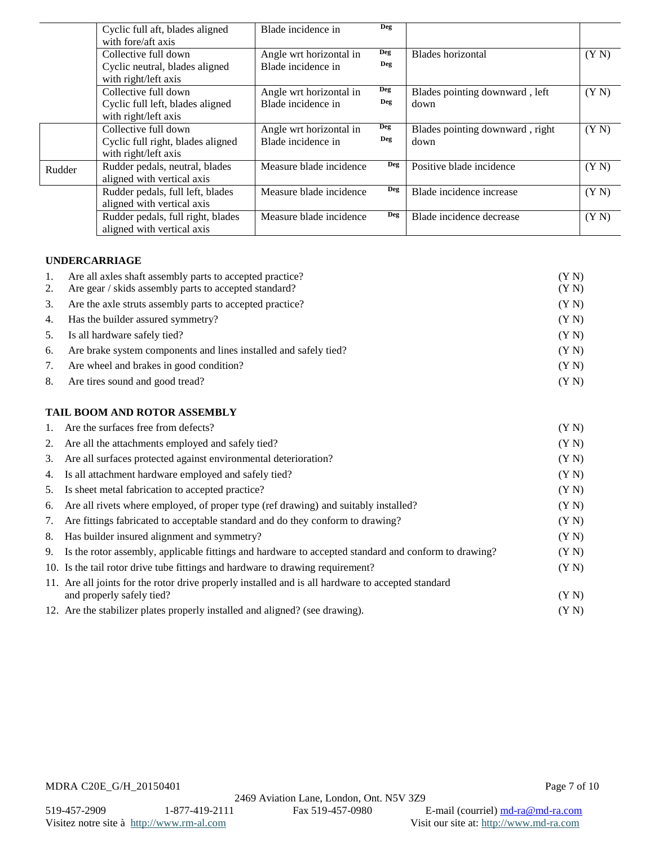|        | Cyclic full aft, blades aligned   | Blade incidence in      | Deg        |                                 |       |
|--------|-----------------------------------|-------------------------|------------|---------------------------------|-------|
|        | with fore/aft axis                |                         |            |                                 |       |
|        | Collective full down              | Angle wrt horizontal in | Deg        | Blades horizontal               | (YN)  |
|        | Cyclic neutral, blades aligned    | Blade incidence in      | Deg        |                                 |       |
|        | with right/left axis              |                         |            |                                 |       |
|        | Collective full down              | Angle wrt horizontal in | <b>Deg</b> | Blades pointing downward, left  | (YN)  |
|        | Cyclic full left, blades aligned  | Blade incidence in      | Deg        | down                            |       |
|        | with right/left axis              |                         |            |                                 |       |
|        | Collective full down              | Angle wrt horizontal in | <b>Deg</b> | Blades pointing downward, right | (Y N) |
|        | Cyclic full right, blades aligned | Blade incidence in      | Deg        | down                            |       |
|        | with right/left axis              |                         |            |                                 |       |
| Rudder | Rudder pedals, neutral, blades    | Measure blade incidence | Deg        | Positive blade incidence        | (YN)  |
|        | aligned with vertical axis        |                         |            |                                 |       |
|        | Rudder pedals, full left, blades  | Measure blade incidence | Deg        | Blade incidence increase        | (Y N) |
|        | aligned with vertical axis        |                         |            |                                 |       |
|        | Rudder pedals, full right, blades | Measure blade incidence | Deg        | Blade incidence decrease        | (Y N) |
|        | aligned with vertical axis        |                         |            |                                 |       |

# **UNDERCARRIAGE**

| 1. | Are all axles shaft assembly parts to accepted practice?            | (YN)  |
|----|---------------------------------------------------------------------|-------|
|    | 2. Are gear / skids assembly parts to accepted standard?            | (YN)  |
|    | 3. Are the axle struts assembly parts to accepted practice?         | (Y N) |
|    | 4. Has the builder assured symmetry?                                | (Y N) |
|    | 5. Is all hardware safely tied?                                     | (Y N) |
|    | 6. Are brake system components and lines installed and safely tied? | (Y N) |
| 7. | Are wheel and brakes in good condition?                             | (Y N) |
|    | 8. Are tires sound and good tread?                                  | (Y N) |

## **TAIL BOOM AND ROTOR ASSEMBLY**

| 1. | Are the surfaces free from defects?                                                                     | (Y N) |
|----|---------------------------------------------------------------------------------------------------------|-------|
| 2. | Are all the attachments employed and safely tied?                                                       | (Y N) |
| 3. | Are all surfaces protected against environmental deterioration?                                         | (Y N) |
| 4. | Is all attachment hardware employed and safely tied?                                                    | (Y N) |
| 5. | Is sheet metal fabrication to accepted practice?                                                        | (Y N) |
| 6. | Are all rivets where employed, of proper type (ref drawing) and suitably installed?                     | (Y N) |
| 7. | Are fittings fabricated to acceptable standard and do they conform to drawing?                          | (Y N) |
| 8. | Has builder insured alignment and symmetry?                                                             | (Y N) |
|    | 9. Is the rotor assembly, applicable fittings and hardware to accepted standard and conform to drawing? | (Y N) |
|    | 10. Is the tail rotor drive tube fittings and hardware to drawing requirement?                          | (YN)  |
|    | 11. Are all joints for the rotor drive properly installed and is all hardware to accepted standard      |       |
|    | and properly safely tied?                                                                               | (YN)  |
|    | 12. Are the stabilizer plates properly installed and aligned? (see drawing).                            | (YN)  |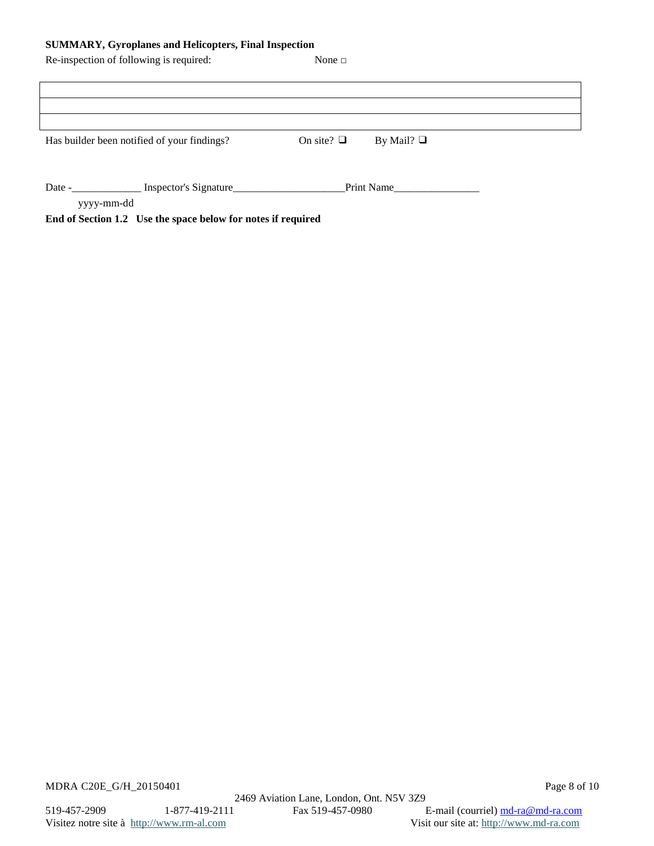## **SUMMARY, Gyroplanes and Helicopters, Final Inspection**

| Re-inspection of following is required: |                                             | None $\Box$     |                 |  |
|-----------------------------------------|---------------------------------------------|-----------------|-----------------|--|
|                                         |                                             |                 |                 |  |
|                                         |                                             |                 |                 |  |
|                                         |                                             |                 |                 |  |
|                                         | Has builder been notified of your findings? | On site? $\Box$ | By Mail? $\Box$ |  |
|                                         |                                             |                 |                 |  |
|                                         |                                             |                 |                 |  |
| Date $-$                                | Inspector's Signature                       |                 | Print Name      |  |
| yyyy-mm-dd                              |                                             |                 |                 |  |

**End of Section 1.2 Use the space below for notes if required**

MDRA C20E\_G/H\_20150401 Page 8 of 10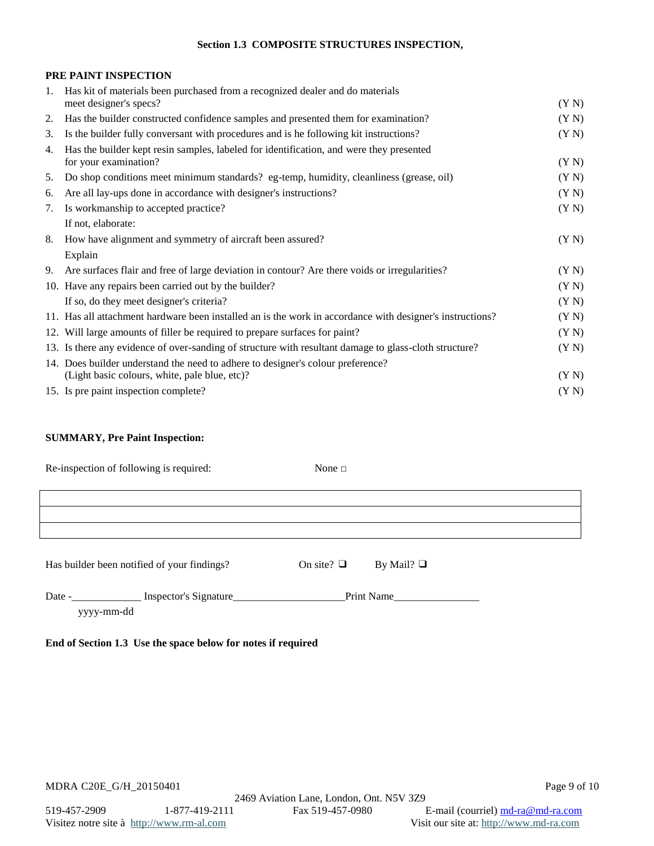### **Section 1.3 COMPOSITE STRUCTURES INSPECTION,**

## **PRE PAINT INSPECTION**

| $1_{\cdot}$ | Has kit of materials been purchased from a recognized dealer and do materials<br>meet designer's specs?                          | (Y N) |
|-------------|----------------------------------------------------------------------------------------------------------------------------------|-------|
| 2.          | Has the builder constructed confidence samples and presented them for examination?                                               | (YN)  |
| 3.          | Is the builder fully conversant with procedures and is he following kit instructions?                                            | (YN)  |
| 4.          | Has the builder kept resin samples, labeled for identification, and were they presented<br>for your examination?                 | (Y N) |
| 5.          | Do shop conditions meet minimum standards? eg-temp, humidity, cleanliness (grease, oil)                                          | (Y N) |
| 6.          | Are all lay-ups done in accordance with designer's instructions?                                                                 | (Y N) |
| 7.          | Is workmanship to accepted practice?                                                                                             | (YN)  |
|             | If not, elaborate:                                                                                                               |       |
| 8.          | How have alignment and symmetry of aircraft been assured?                                                                        | (Y N) |
|             | Explain                                                                                                                          |       |
| 9.          | Are surfaces flair and free of large deviation in contour? Are there voids or irregularities?                                    | (YN)  |
|             | 10. Have any repairs been carried out by the builder?                                                                            | (YN)  |
|             | If so, do they meet designer's criteria?                                                                                         | (Y N) |
|             | 11. Has all attachment hardware been installed an is the work in accordance with designer's instructions?                        | (Y N) |
|             | 12. Will large amounts of filler be required to prepare surfaces for paint?                                                      | (YN)  |
|             | 13. Is there any evidence of over-sanding of structure with resultant damage to glass-cloth structure?                           | (Y N) |
|             | 14. Does builder understand the need to adhere to designer's colour preference?<br>(Light basic colours, white, pale blue, etc)? | (YN)  |
|             | 15. Is pre paint inspection complete?                                                                                            | (Y N) |

## **SUMMARY, Pre Paint Inspection:**

| Re-inspection of following is required:     | None $\Box$     |                 |
|---------------------------------------------|-----------------|-----------------|
|                                             |                 |                 |
|                                             |                 |                 |
|                                             |                 |                 |
|                                             |                 |                 |
| Has builder been notified of your findings? | On site? $\Box$ | By Mail? $\Box$ |
|                                             |                 |                 |

| Date             | Inspector's S<br><b>THSL</b> | Drint |  |
|------------------|------------------------------|-------|--|
| VVVVV.<br>umu aa |                              |       |  |

# **End of Section 1.3 Use the space below for notes if required**